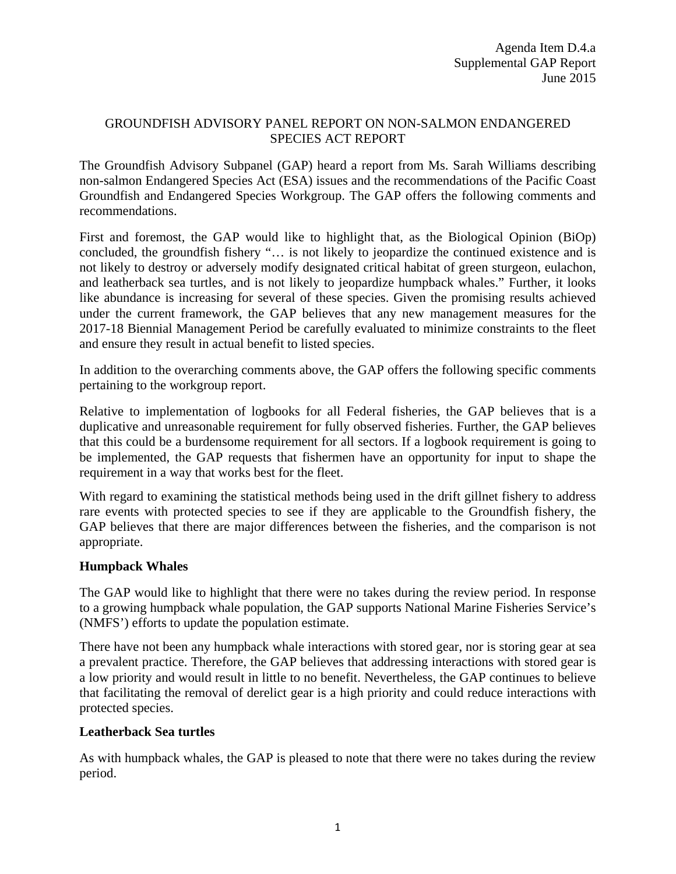# GROUNDFISH ADVISORY PANEL REPORT ON NON-SALMON ENDANGERED SPECIES ACT REPORT

The Groundfish Advisory Subpanel (GAP) heard a report from Ms. Sarah Williams describing non-salmon Endangered Species Act (ESA) issues and the recommendations of the Pacific Coast Groundfish and Endangered Species Workgroup. The GAP offers the following comments and recommendations.

First and foremost, the GAP would like to highlight that, as the Biological Opinion (BiOp) concluded, the groundfish fishery "… is not likely to jeopardize the continued existence and is not likely to destroy or adversely modify designated critical habitat of green sturgeon, eulachon, and leatherback sea turtles, and is not likely to jeopardize humpback whales." Further, it looks like abundance is increasing for several of these species. Given the promising results achieved under the current framework, the GAP believes that any new management measures for the 2017-18 Biennial Management Period be carefully evaluated to minimize constraints to the fleet and ensure they result in actual benefit to listed species.

In addition to the overarching comments above, the GAP offers the following specific comments pertaining to the workgroup report.

Relative to implementation of logbooks for all Federal fisheries, the GAP believes that is a duplicative and unreasonable requirement for fully observed fisheries. Further, the GAP believes that this could be a burdensome requirement for all sectors. If a logbook requirement is going to be implemented, the GAP requests that fishermen have an opportunity for input to shape the requirement in a way that works best for the fleet.

With regard to examining the statistical methods being used in the drift gillnet fishery to address rare events with protected species to see if they are applicable to the Groundfish fishery, the GAP believes that there are major differences between the fisheries, and the comparison is not appropriate.

## **Humpback Whales**

The GAP would like to highlight that there were no takes during the review period. In response to a growing humpback whale population, the GAP supports National Marine Fisheries Service's (NMFS') efforts to update the population estimate.

There have not been any humpback whale interactions with stored gear, nor is storing gear at sea a prevalent practice. Therefore, the GAP believes that addressing interactions with stored gear is a low priority and would result in little to no benefit. Nevertheless, the GAP continues to believe that facilitating the removal of derelict gear is a high priority and could reduce interactions with protected species.

## **Leatherback Sea turtles**

As with humpback whales, the GAP is pleased to note that there were no takes during the review period.